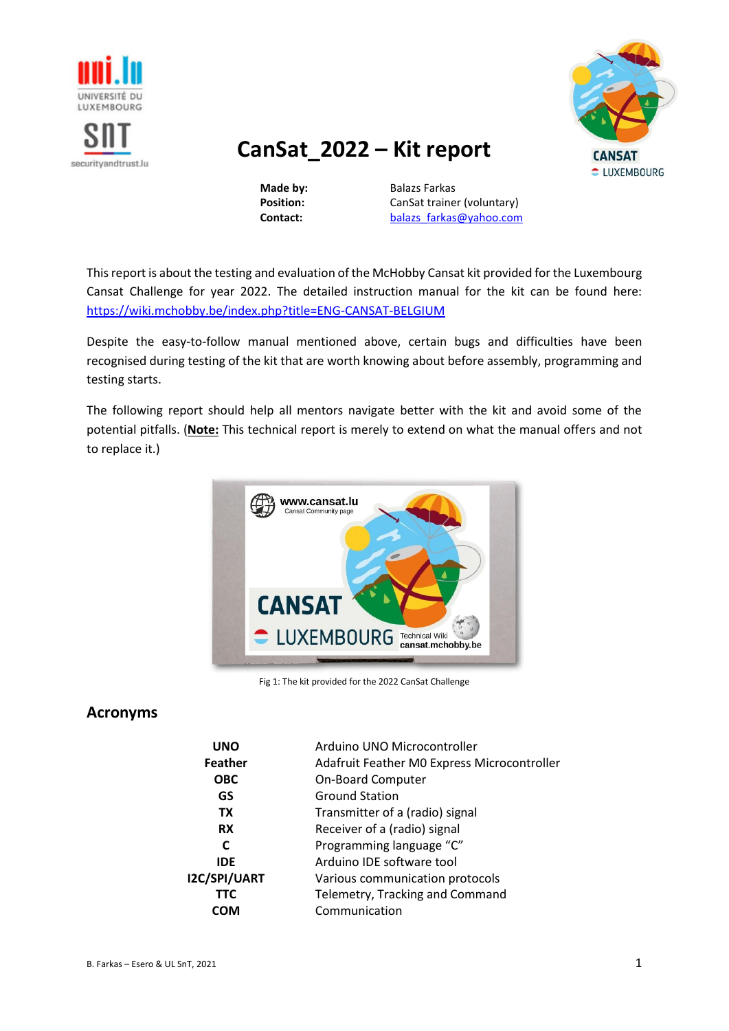

securityandtrust.lu



# **CanSat\_2022 – Kit report**

**Made by:** Balazs Farkas **Position:** CanSat trainer (voluntary) **Contact: balazs** farkas@yahoo.com

This report is about the testing and evaluation of the McHobby Cansat kit provided for the Luxembourg Cansat Challenge for year 2022. The detailed instruction manual for the kit can be found here: <https://wiki.mchobby.be/index.php?title=ENG-CANSAT-BELGIUM>

Despite the easy-to-follow manual mentioned above, certain bugs and difficulties have been recognised during testing of the kit that are worth knowing about before assembly, programming and testing starts.

The following report should help all mentors navigate better with the kit and avoid some of the potential pitfalls. (**Note:** This technical report is merely to extend on what the manual offers and not to replace it.)



Fig 1: The kit provided for the 2022 CanSat Challenge

# **Acronyms**

| <b>UNO</b>     | Arduino UNO Microcontroller                 |
|----------------|---------------------------------------------|
| <b>Feather</b> | Adafruit Feather M0 Express Microcontroller |
| <b>OBC</b>     | <b>On-Board Computer</b>                    |
| GS             | <b>Ground Station</b>                       |
| <b>TX</b>      | Transmitter of a (radio) signal             |
| <b>RX</b>      | Receiver of a (radio) signal                |
| C              | Programming language "C"                    |
| <b>IDE</b>     | Arduino IDE software tool                   |
| I2C/SPI/UART   | Various communication protocols             |
| <b>TTC</b>     | Telemetry, Tracking and Command             |
| СОМ            | Communication                               |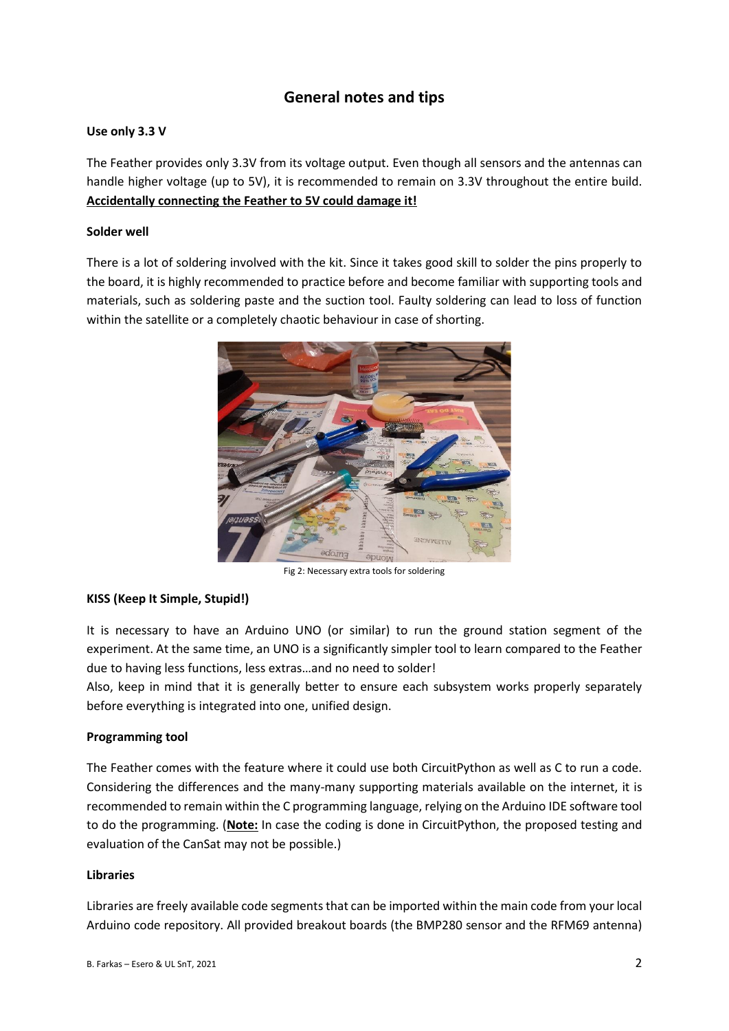# **General notes and tips**

#### **Use only 3.3 V**

The Feather provides only 3.3V from its voltage output. Even though all sensors and the antennas can handle higher voltage (up to 5V), it is recommended to remain on 3.3V throughout the entire build. **Accidentally connecting the Feather to 5V could damage it!**

#### **Solder well**

There is a lot of soldering involved with the kit. Since it takes good skill to solder the pins properly to the board, it is highly recommended to practice before and become familiar with supporting tools and materials, such as soldering paste and the suction tool. Faulty soldering can lead to loss of function within the satellite or a completely chaotic behaviour in case of shorting.



Fig 2: Necessary extra tools for soldering

## **KISS (Keep It Simple, Stupid!)**

It is necessary to have an Arduino UNO (or similar) to run the ground station segment of the experiment. At the same time, an UNO is a significantly simpler tool to learn compared to the Feather due to having less functions, less extras…and no need to solder!

Also, keep in mind that it is generally better to ensure each subsystem works properly separately before everything is integrated into one, unified design.

#### **Programming tool**

The Feather comes with the feature where it could use both CircuitPython as well as C to run a code. Considering the differences and the many-many supporting materials available on the internet, it is recommended to remain within the C programming language, relying on the Arduino IDE software tool to do the programming. (**Note:** In case the coding is done in CircuitPython, the proposed testing and evaluation of the CanSat may not be possible.)

#### **Libraries**

Libraries are freely available code segments that can be imported within the main code from your local Arduino code repository. All provided breakout boards (the BMP280 sensor and the RFM69 antenna)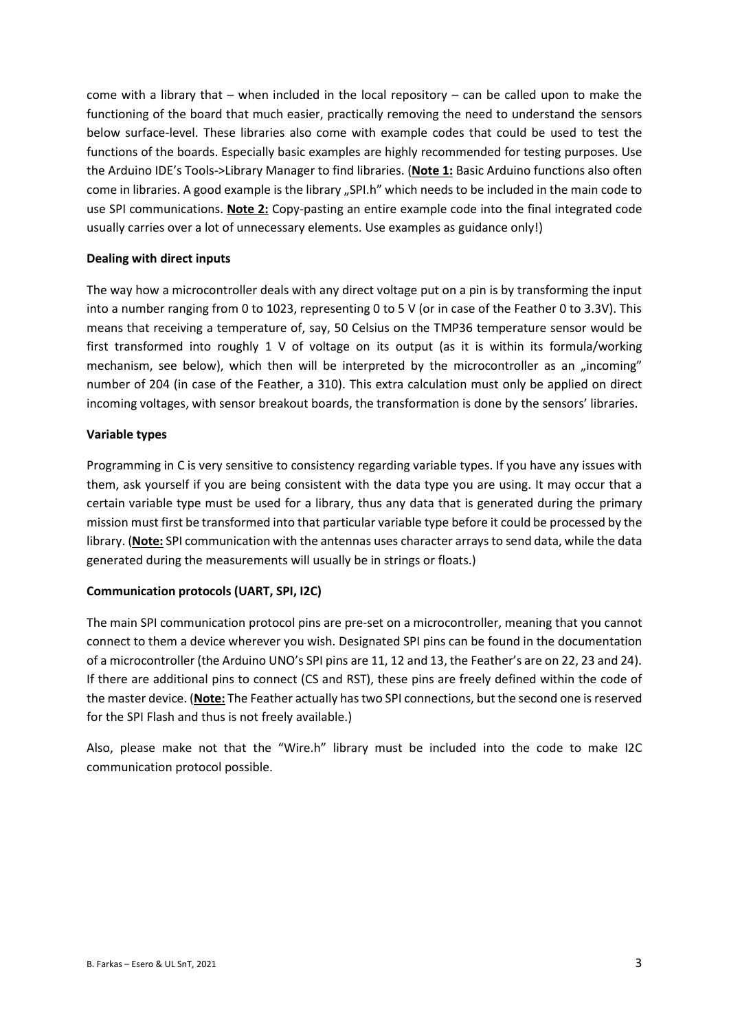come with a library that – when included in the local repository – can be called upon to make the functioning of the board that much easier, practically removing the need to understand the sensors below surface-level. These libraries also come with example codes that could be used to test the functions of the boards. Especially basic examples are highly recommended for testing purposes. Use the Arduino IDE's Tools->Library Manager to find libraries. (**Note 1:** Basic Arduino functions also often come in libraries. A good example is the library "SPI.h" which needs to be included in the main code to use SPI communications. **Note 2:** Copy-pasting an entire example code into the final integrated code usually carries over a lot of unnecessary elements. Use examples as guidance only!)

#### **Dealing with direct inputs**

The way how a microcontroller deals with any direct voltage put on a pin is by transforming the input into a number ranging from 0 to 1023, representing 0 to 5 V (or in case of the Feather 0 to 3.3V). This means that receiving a temperature of, say, 50 Celsius on the TMP36 temperature sensor would be first transformed into roughly 1 V of voltage on its output (as it is within its formula/working mechanism, see below), which then will be interpreted by the microcontroller as an "incoming" number of 204 (in case of the Feather, a 310). This extra calculation must only be applied on direct incoming voltages, with sensor breakout boards, the transformation is done by the sensors' libraries.

#### **Variable types**

Programming in C is very sensitive to consistency regarding variable types. If you have any issues with them, ask yourself if you are being consistent with the data type you are using. It may occur that a certain variable type must be used for a library, thus any data that is generated during the primary mission must first be transformed into that particular variable type before it could be processed by the library. (**Note:** SPI communication with the antennas uses character arrays to send data, while the data generated during the measurements will usually be in strings or floats.)

## **Communication protocols (UART, SPI, I2C)**

The main SPI communication protocol pins are pre-set on a microcontroller, meaning that you cannot connect to them a device wherever you wish. Designated SPI pins can be found in the documentation of a microcontroller (the Arduino UNO's SPI pins are 11, 12 and 13, the Feather's are on 22, 23 and 24). If there are additional pins to connect (CS and RST), these pins are freely defined within the code of the master device. (**Note:** The Feather actually has two SPI connections, but the second one is reserved for the SPI Flash and thus is not freely available.)

Also, please make not that the "Wire.h" library must be included into the code to make I2C communication protocol possible.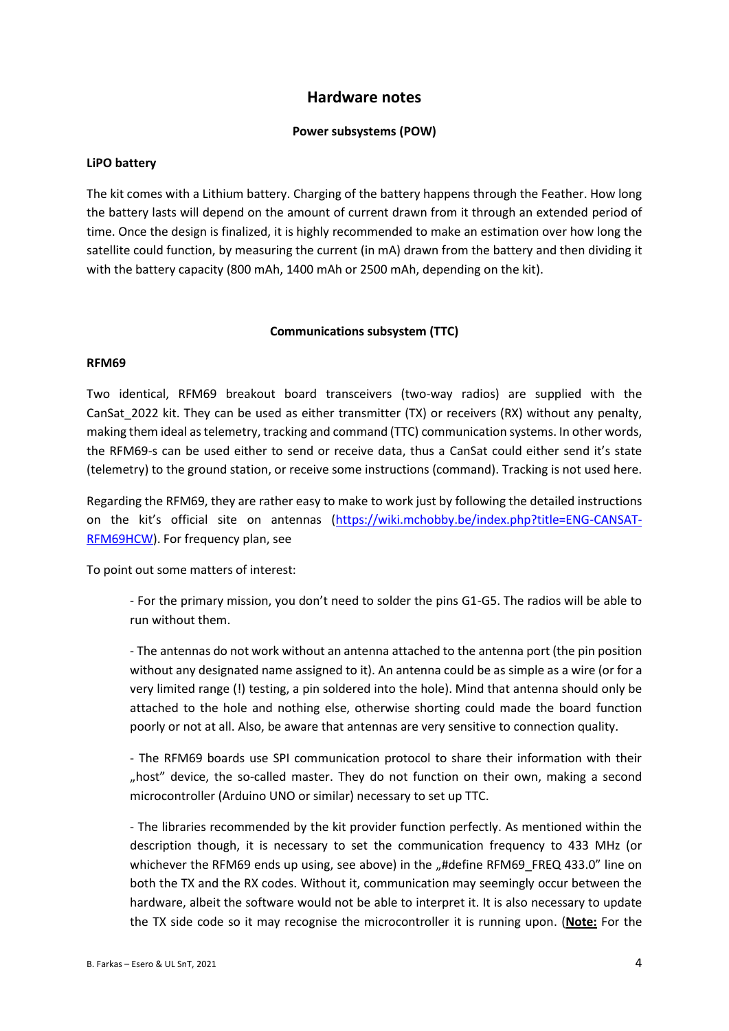# **Hardware notes**

#### **Power subsystems (POW)**

#### **LiPO battery**

The kit comes with a Lithium battery. Charging of the battery happens through the Feather. How long the battery lasts will depend on the amount of current drawn from it through an extended period of time. Once the design is finalized, it is highly recommended to make an estimation over how long the satellite could function, by measuring the current (in mA) drawn from the battery and then dividing it with the battery capacity (800 mAh, 1400 mAh or 2500 mAh, depending on the kit).

#### **Communications subsystem (TTC)**

#### **RFM69**

Two identical, RFM69 breakout board transceivers (two-way radios) are supplied with the CanSat\_2022 kit. They can be used as either transmitter (TX) or receivers (RX) without any penalty, making them ideal as telemetry, tracking and command (TTC) communication systems. In other words, the RFM69-s can be used either to send or receive data, thus a CanSat could either send it's state (telemetry) to the ground station, or receive some instructions (command). Tracking is not used here.

Regarding the RFM69, they are rather easy to make to work just by following the detailed instructions on the kit's official site on antennas ([https://wiki.mchobby.be/index.php?title=ENG-CANSAT-](https://wiki.mchobby.be/index.php?title=ENG-CANSAT-RFM69HCW)[RFM69HCW\)](https://wiki.mchobby.be/index.php?title=ENG-CANSAT-RFM69HCW). For frequency plan, see

To point out some matters of interest:

- For the primary mission, you don't need to solder the pins G1-G5. The radios will be able to run without them.

- The antennas do not work without an antenna attached to the antenna port (the pin position without any designated name assigned to it). An antenna could be as simple as a wire (or for a very limited range (!) testing, a pin soldered into the hole). Mind that antenna should only be attached to the hole and nothing else, otherwise shorting could made the board function poorly or not at all. Also, be aware that antennas are very sensitive to connection quality.

- The RFM69 boards use SPI communication protocol to share their information with their "host" device, the so-called master. They do not function on their own, making a second microcontroller (Arduino UNO or similar) necessary to set up TTC.

- The libraries recommended by the kit provider function perfectly. As mentioned within the description though, it is necessary to set the communication frequency to 433 MHz (or whichever the RFM69 ends up using, see above) in the "#define RFM69\_FREQ 433.0" line on both the TX and the RX codes. Without it, communication may seemingly occur between the hardware, albeit the software would not be able to interpret it. It is also necessary to update the TX side code so it may recognise the microcontroller it is running upon. (**Note:** For the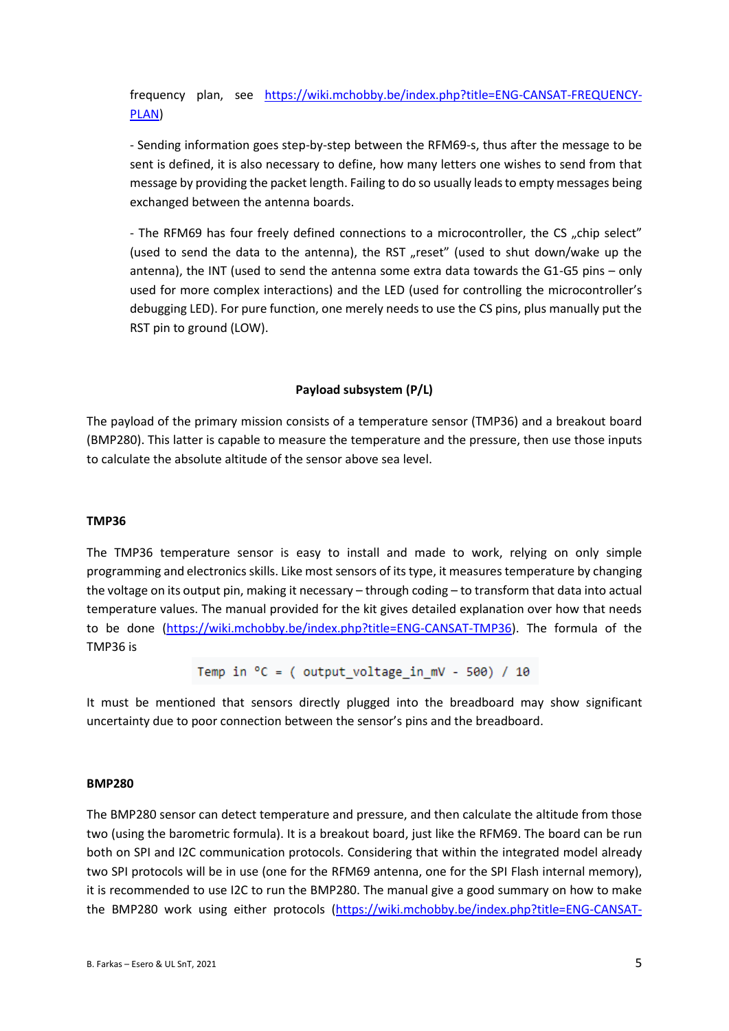frequency plan, see [https://wiki.mchobby.be/index.php?title=ENG-CANSAT-FREQUENCY-](https://wiki.mchobby.be/index.php?title=ENG-CANSAT-FREQUENCY-PLAN)[PLAN\)](https://wiki.mchobby.be/index.php?title=ENG-CANSAT-FREQUENCY-PLAN)

- Sending information goes step-by-step between the RFM69-s, thus after the message to be sent is defined, it is also necessary to define, how many letters one wishes to send from that message by providing the packet length. Failing to do so usually leads to empty messages being exchanged between the antenna boards.

- The RFM69 has four freely defined connections to a microcontroller, the CS "chip select" (used to send the data to the antenna), the RST "reset" (used to shut down/wake up the antenna), the INT (used to send the antenna some extra data towards the G1-G5 pins – only used for more complex interactions) and the LED (used for controlling the microcontroller's debugging LED). For pure function, one merely needs to use the CS pins, plus manually put the RST pin to ground (LOW).

#### **Payload subsystem (P/L)**

The payload of the primary mission consists of a temperature sensor (TMP36) and a breakout board (BMP280). This latter is capable to measure the temperature and the pressure, then use those inputs to calculate the absolute altitude of the sensor above sea level.

#### **TMP36**

The TMP36 temperature sensor is easy to install and made to work, relying on only simple programming and electronics skills. Like most sensors of its type, it measures temperature by changing the voltage on its output pin, making it necessary – through coding – to transform that data into actual temperature values. The manual provided for the kit gives detailed explanation over how that needs to be done [\(https://wiki.mchobby.be/index.php?title=ENG-CANSAT-TMP36\)](https://wiki.mchobby.be/index.php?title=ENG-CANSAT-TMP36). The formula of the TMP36 is

Temp in  $^{\circ}$ C = ( output\_voltage\_in\_mV - 500) / 10

It must be mentioned that sensors directly plugged into the breadboard may show significant uncertainty due to poor connection between the sensor's pins and the breadboard.

#### **BMP280**

The BMP280 sensor can detect temperature and pressure, and then calculate the altitude from those two (using the barometric formula). It is a breakout board, just like the RFM69. The board can be run both on SPI and I2C communication protocols. Considering that within the integrated model already two SPI protocols will be in use (one for the RFM69 antenna, one for the SPI Flash internal memory), it is recommended to use I2C to run the BMP280. The manual give a good summary on how to make the BMP280 work using either protocols [\(https://wiki.mchobby.be/index.php?title=ENG-CANSAT-](https://wiki.mchobby.be/index.php?title=ENG-CANSAT-BMP280)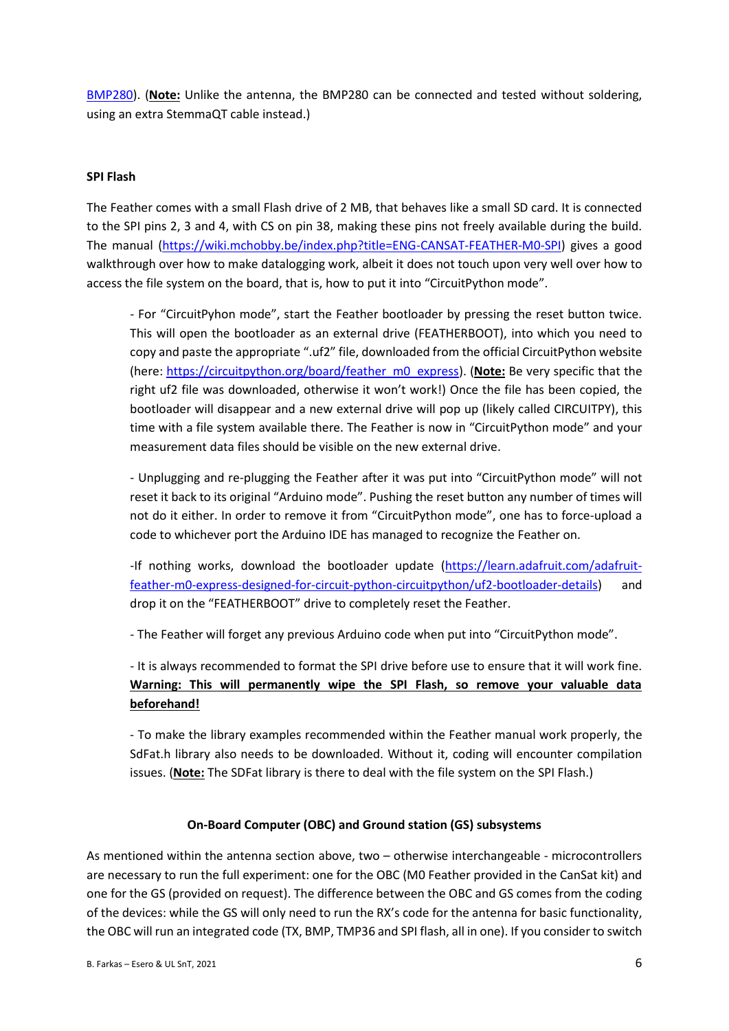[BMP280\)](https://wiki.mchobby.be/index.php?title=ENG-CANSAT-BMP280). (**Note:** Unlike the antenna, the BMP280 can be connected and tested without soldering, using an extra StemmaQT cable instead.)

#### **SPI Flash**

The Feather comes with a small Flash drive of 2 MB, that behaves like a small SD card. It is connected to the SPI pins 2, 3 and 4, with CS on pin 38, making these pins not freely available during the build. The manual [\(https://wiki.mchobby.be/index.php?title=ENG-CANSAT-FEATHER-M0-SPI\)](https://wiki.mchobby.be/index.php?title=ENG-CANSAT-FEATHER-M0-SPI) gives a good walkthrough over how to make datalogging work, albeit it does not touch upon very well over how to access the file system on the board, that is, how to put it into "CircuitPython mode".

- For "CircuitPyhon mode", start the Feather bootloader by pressing the reset button twice. This will open the bootloader as an external drive (FEATHERBOOT), into which you need to copy and paste the appropriate ".uf2" file, downloaded from the official CircuitPython website (here: [https://circuitpython.org/board/feather\\_m0\\_express\)](https://circuitpython.org/board/feather_m0_express). (**Note:** Be very specific that the right uf2 file was downloaded, otherwise it won't work!) Once the file has been copied, the bootloader will disappear and a new external drive will pop up (likely called CIRCUITPY), this time with a file system available there. The Feather is now in "CircuitPython mode" and your measurement data files should be visible on the new external drive.

- Unplugging and re-plugging the Feather after it was put into "CircuitPython mode" will not reset it back to its original "Arduino mode". Pushing the reset button any number of times will not do it either. In order to remove it from "CircuitPython mode", one has to force-upload a code to whichever port the Arduino IDE has managed to recognize the Feather on.

-If nothing works, download the bootloader update [\(https://learn.adafruit.com/adafruit](https://learn.adafruit.com/adafruit-feather-m0-express-designed-for-circuit-python-circuitpython/uf2-bootloader-details)[feather-m0-express-designed-for-circuit-python-circuitpython/uf2-bootloader-details\)](https://learn.adafruit.com/adafruit-feather-m0-express-designed-for-circuit-python-circuitpython/uf2-bootloader-details) and drop it on the "FEATHERBOOT" drive to completely reset the Feather.

- The Feather will forget any previous Arduino code when put into "CircuitPython mode".

- It is always recommended to format the SPI drive before use to ensure that it will work fine. **Warning: This will permanently wipe the SPI Flash, so remove your valuable data beforehand!**

- To make the library examples recommended within the Feather manual work properly, the SdFat.h library also needs to be downloaded. Without it, coding will encounter compilation issues. (**Note:** The SDFat library is there to deal with the file system on the SPI Flash.)

#### **On-Board Computer (OBC) and Ground station (GS) subsystems**

As mentioned within the antenna section above, two – otherwise interchangeable - microcontrollers are necessary to run the full experiment: one for the OBC (M0 Feather provided in the CanSat kit) and one for the GS (provided on request). The difference between the OBC and GS comes from the coding of the devices: while the GS will only need to run the RX's code for the antenna for basic functionality, the OBC will run an integrated code (TX, BMP, TMP36 and SPI flash, all in one). If you consider to switch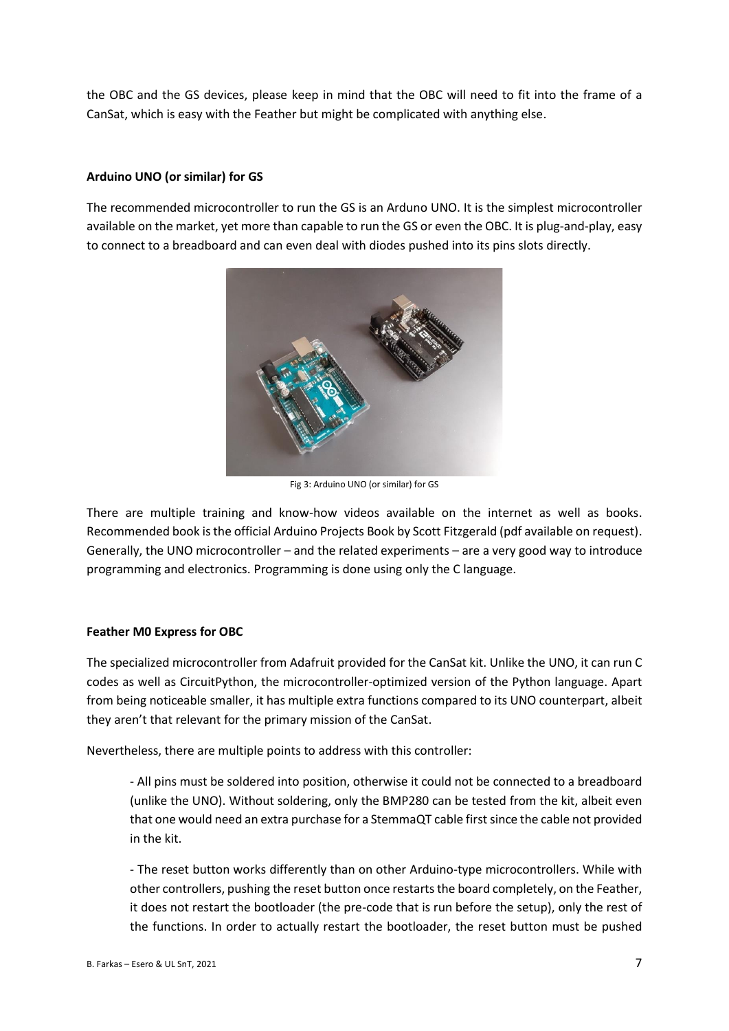the OBC and the GS devices, please keep in mind that the OBC will need to fit into the frame of a CanSat, which is easy with the Feather but might be complicated with anything else.

#### **Arduino UNO (or similar) for GS**

The recommended microcontroller to run the GS is an Arduno UNO. It is the simplest microcontroller available on the market, yet more than capable to run the GS or even the OBC. It is plug-and-play, easy to connect to a breadboard and can even deal with diodes pushed into its pins slots directly.



Fig 3: Arduino UNO (or similar) for GS

There are multiple training and know-how videos available on the internet as well as books. Recommended book is the official Arduino Projects Book by Scott Fitzgerald (pdf available on request). Generally, the UNO microcontroller – and the related experiments – are a very good way to introduce programming and electronics. Programming is done using only the C language.

#### **Feather M0 Express for OBC**

The specialized microcontroller from Adafruit provided for the CanSat kit. Unlike the UNO, it can run C codes as well as CircuitPython, the microcontroller-optimized version of the Python language. Apart from being noticeable smaller, it has multiple extra functions compared to its UNO counterpart, albeit they aren't that relevant for the primary mission of the CanSat.

Nevertheless, there are multiple points to address with this controller:

- All pins must be soldered into position, otherwise it could not be connected to a breadboard (unlike the UNO). Without soldering, only the BMP280 can be tested from the kit, albeit even that one would need an extra purchase for a StemmaQT cable first since the cable not provided in the kit.

- The reset button works differently than on other Arduino-type microcontrollers. While with other controllers, pushing the reset button once restarts the board completely, on the Feather, it does not restart the bootloader (the pre-code that is run before the setup), only the rest of the functions. In order to actually restart the bootloader, the reset button must be pushed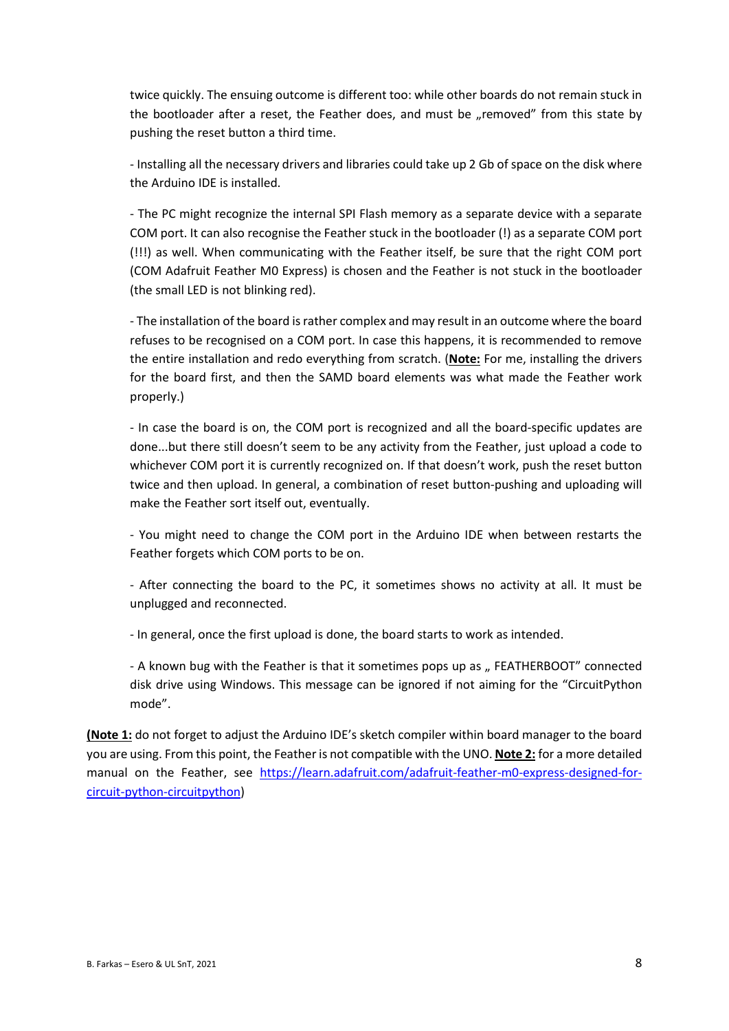twice quickly. The ensuing outcome is different too: while other boards do not remain stuck in the bootloader after a reset, the Feather does, and must be "removed" from this state by pushing the reset button a third time.

- Installing all the necessary drivers and libraries could take up 2 Gb of space on the disk where the Arduino IDE is installed.

- The PC might recognize the internal SPI Flash memory as a separate device with a separate COM port. It can also recognise the Feather stuck in the bootloader (!) as a separate COM port (!!!) as well. When communicating with the Feather itself, be sure that the right COM port (COM Adafruit Feather M0 Express) is chosen and the Feather is not stuck in the bootloader (the small LED is not blinking red).

- The installation of the board is rather complex and may result in an outcome where the board refuses to be recognised on a COM port. In case this happens, it is recommended to remove the entire installation and redo everything from scratch. (**Note:** For me, installing the drivers for the board first, and then the SAMD board elements was what made the Feather work properly.)

- In case the board is on, the COM port is recognized and all the board-specific updates are done...but there still doesn't seem to be any activity from the Feather, just upload a code to whichever COM port it is currently recognized on. If that doesn't work, push the reset button twice and then upload. In general, a combination of reset button-pushing and uploading will make the Feather sort itself out, eventually.

- You might need to change the COM port in the Arduino IDE when between restarts the Feather forgets which COM ports to be on.

- After connecting the board to the PC, it sometimes shows no activity at all. It must be unplugged and reconnected.

- In general, once the first upload is done, the board starts to work as intended.

- A known bug with the Feather is that it sometimes pops up as " FEATHERBOOT" connected disk drive using Windows. This message can be ignored if not aiming for the "CircuitPython mode".

**(Note 1:** do not forget to adjust the Arduino IDE's sketch compiler within board manager to the board you are using. From this point, the Feather is not compatible with the UNO. **Note 2:** for a more detailed manual on the Feather, see [https://learn.adafruit.com/adafruit-feather-m0-express-designed-for](https://learn.adafruit.com/adafruit-feather-m0-express-designed-for-circuit-python-circuitpython)[circuit-python-circuitpython\)](https://learn.adafruit.com/adafruit-feather-m0-express-designed-for-circuit-python-circuitpython)